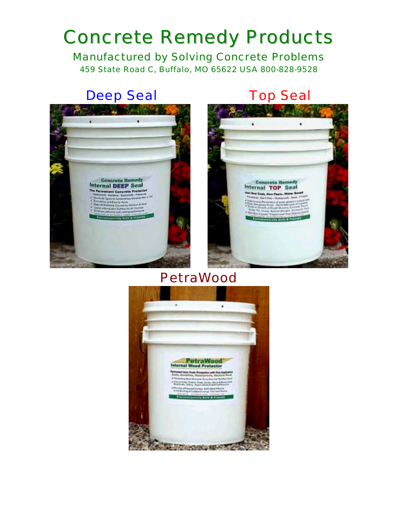# Concrete Remedy Products

Manufactured by Solving Concrete Problems 459 State Road C, Buffalo, MO 65622 USA 800-828-9528

# Deep Seal **Top Seal**



## PetraWood

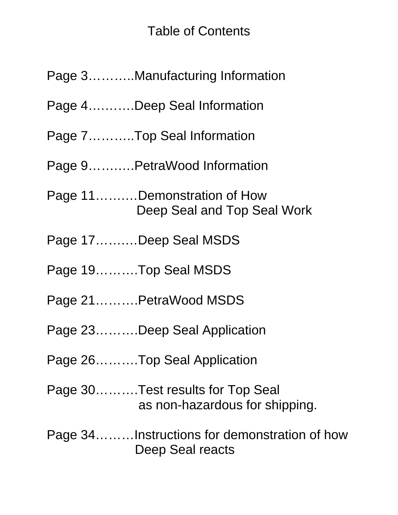## Table of Contents

- Page 4….…….Deep Seal Information
- Page 7………..Top Seal Information

Page 9…….….PetraWood Information

- Page 11…….…Demonstration of How Deep Seal and Top Seal Work
- Page 17…….…Deep Seal MSDS
- Page 19……….Top Seal MSDS
- Page 21……….PetraWood MSDS
- Page 23……….Deep Seal Application
- Page 26……….Top Seal Application
- Page 30……….Test results for Top Seal as non-hazardous for shipping.

Page 34………Instructions for demonstration of how Deep Seal reacts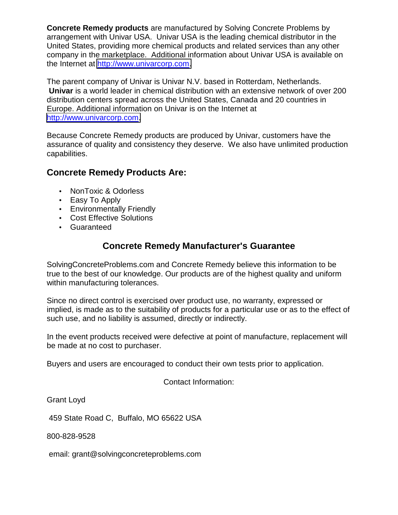**Concrete Remedy products** are manufactured by Solving Concrete Problems by arrangement with Univar USA. Univar USA is the leading chemical distributor in the United States, providing more chemical products and related services than any other company in the marketplace. Additional information about Univar USA is available on the Internet at [http://www.univarcorp.com.](http://www.univarcorp.com/)

The parent company of Univar is Univar N.V. based in Rotterdam, Netherlands. **Univar** is a world leader in chemical distribution with an extensive network of over 200 distribution centers spread across the United States, Canada and 20 countries in Europe. Additional information on Univar is on the Internet at [http://www.univarcorp.com.](http://www.univarcorp.com/)

Because Concrete Remedy products are produced by Univar, customers have the assurance of quality and consistency they deserve. We also have unlimited production capabilities.

#### **Concrete Remedy Products Are:**

- NonToxic & Odorless
- Easy To Apply
- Environmentally Friendly
- Cost Effective Solutions
- Guaranteed

#### **Concrete Remedy Manufacturer's Guarantee**

SolvingConcreteProblems.com and Concrete Remedy believe this information to be true to the best of our knowledge. Our products are of the highest quality and uniform within manufacturing tolerances.

Since no direct control is exercised over product use, no warranty, expressed or implied, is made as to the suitability of products for a particular use or as to the effect of such use, and no liability is assumed, directly or indirectly.

In the event products received were defective at point of manufacture, replacement will be made at no cost to purchaser.

Buyers and users are encouraged to conduct their own tests prior to application.

Contact Information:

Grant Loyd

459 State Road C, Buffalo, MO 65622 USA

800-828-9528

email: grant@solvingconcreteproblems.com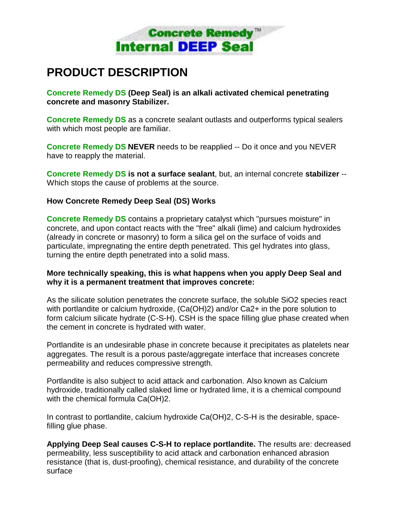

### **PRODUCT DESCRIPTION**

**Concrete Remedy DS (Deep Seal) is an alkali activated chemical penetrating concrete and masonry Stabilizer.**

**Concrete Remedy DS** as a concrete sealant outlasts and outperforms typical sealers with which most people are familiar.

**Concrete Remedy DS NEVER** needs to be reapplied -- Do it once and you NEVER have to reapply the material.

**Concrete Remedy DS is not a surface sealant**, but, an internal concrete **stabilizer** -- Which stops the cause of problems at the source.

#### **How Concrete Remedy Deep Seal (DS) Works**

**Concrete Remedy DS** contains a proprietary catalyst which "pursues moisture" in concrete, and upon contact reacts with the "free" alkali (lime) and calcium hydroxides (already in concrete or masonry) to form a silica gel on the surface of voids and particulate, impregnating the entire depth penetrated. This gel hydrates into glass, turning the entire depth penetrated into a solid mass.

#### **More technically speaking, this is what happens when you apply Deep Seal and why it is a permanent treatment that improves concrete:**

As the silicate solution penetrates the concrete surface, the soluble SiO2 species react with portlandite or calcium hydroxide, (Ca(OH)2) and/or Ca2+ in the pore solution to form calcium silicate hydrate (C-S-H). CSH is the space filling glue phase created when the cement in concrete is hydrated with water.

Portlandite is an undesirable phase in concrete because it precipitates as platelets near aggregates. The result is a porous paste/aggregate interface that increases concrete permeability and reduces compressive strength.

Portlandite is also subject to acid attack and carbonation. Also known as Calcium hydroxide, traditionally called slaked lime or hydrated lime, it is a chemical compound with the chemical formula Ca(OH)2.

In contrast to portlandite, calcium hydroxide Ca(OH)2, C-S-H is the desirable, spacefilling glue phase.

**Applying Deep Seal causes C-S-H to replace portlandite.** The results are: decreased permeability, less susceptibility to acid attack and carbonation enhanced abrasion resistance (that is, dust-proofing), chemical resistance, and durability of the concrete surface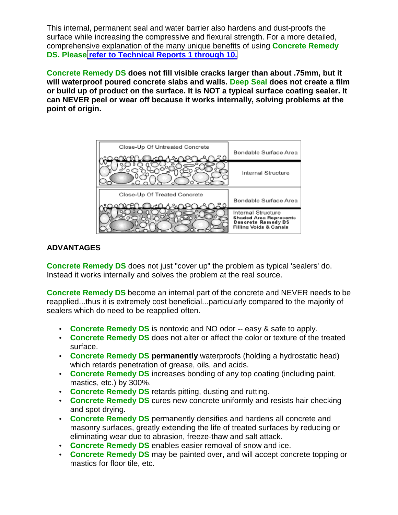This internal, permanent seal and water barrier also hardens and dust-proofs the surface while increasing the compressive and flexural strength. For a more detailed, comprehensive explanation of the many unique benefits of using **Concrete Remedy DS. Please [refer to Technical Reports 1 through 10.](http://solvingconcreteproblems.com/technical.htm)**

**Concrete Remedy DS does not fill visible cracks larger than about .75mm, but it will waterproof poured concrete slabs and walls. Deep Seal does not create a film or build up of product on the surface. It is NOT a typical surface coating sealer. It can NEVER peel or wear off because it works internally, solving problems at the point of origin.** 



#### **ADVANTAGES**

**Concrete Remedy DS** does not just "cover up" the problem as typical 'sealers' do. Instead it works internally and solves the problem at the real source.

**Concrete Remedy DS** become an internal part of the concrete and NEVER needs to be reapplied...thus it is extremely cost beneficial...particularly compared to the majority of sealers which do need to be reapplied often.

- **Concrete Remedy DS** is nontoxic and NO odor -- easy & safe to apply.
- **Concrete Remedy DS** does not alter or affect the color or texture of the treated surface.
- **Concrete Remedy DS permanently** waterproofs (holding a hydrostatic head) which retards penetration of grease, oils, and acids.
- **Concrete Remedy DS** increases bonding of any top coating (including paint, mastics, etc.) by 300%.
- **Concrete Remedy DS** retards pitting, dusting and rutting.
- **Concrete Remedy DS** cures new concrete uniformly and resists hair checking and spot drying.
- **Concrete Remedy DS** permanently densifies and hardens all concrete and masonry surfaces, greatly extending the life of treated surfaces by reducing or eliminating wear due to abrasion, freeze-thaw and salt attack.
- **Concrete Remedy DS** enables easier removal of snow and ice.
- **Concrete Remedy DS** may be painted over, and will accept concrete topping or mastics for floor tile, etc.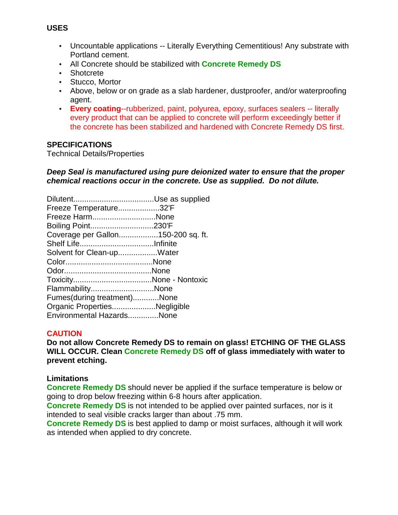- Uncountable applications -- Literally Everything Cementitious! Any substrate with Portland cement.
- All Concrete should be stabilized with **Concrete Remedy DS**
- Shotcrete
- Stucco, Mortor
- Above, below or on grade as a slab hardener, dustproofer, and/or waterproofing agent.
- **Every coating**--rubberized, paint, polyurea, epoxy, surfaces sealers -- literally every product that can be applied to concrete will perform exceedingly better if the concrete has been stabilized and hardened with Concrete Remedy DS first.

#### **SPECIFICATIONS**

Technical Details/Properties

#### *Deep Seal is manufactured using pure deionized water to ensure that the proper chemical reactions occur in the concrete. Use as supplied. Do not dilute.*

| Freeze Temperature32'F             |  |
|------------------------------------|--|
| Freeze HarmNone                    |  |
| Boiling Point230'F                 |  |
| Coverage per Gallon150-200 sq. ft. |  |
|                                    |  |
| Solvent for Clean-upWater          |  |
|                                    |  |
|                                    |  |
|                                    |  |
| FlammabilityNone                   |  |
| Fumes(during treatment)None        |  |
| Organic PropertiesNegligible       |  |
| Environmental HazardsNone          |  |
|                                    |  |

#### **CAUTION**

**Do not allow Concrete Remedy DS to remain on glass! ETCHING OF THE GLASS WILL OCCUR. Clean Concrete Remedy DS off of glass immediately with water to prevent etching.** 

#### **Limitations**

**Concrete Remedy DS** should never be applied if the surface temperature is below or going to drop below freezing within 6-8 hours after application.

**Concrete Remedy DS** is not intended to be applied over painted surfaces, nor is it intended to seal visible cracks larger than about .75 mm.

**Concrete Remedy DS** is best applied to damp or moist surfaces, although it will work as intended when applied to dry concrete.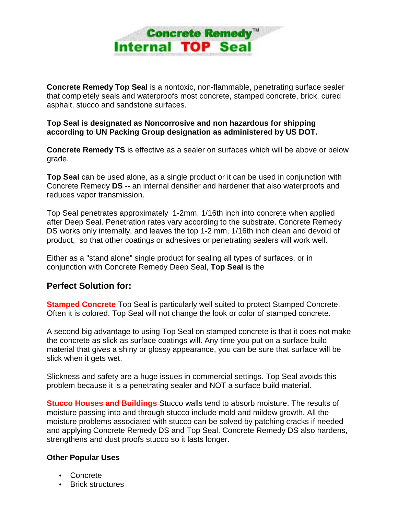

**Concrete Remedy Top Seal** is a nontoxic, non-flammable, penetrating surface sealer that completely seals and waterproofs most concrete, stamped concrete, brick, cured asphalt, stucco and sandstone surfaces.

**Top Seal is designated as Noncorrosive and non hazardous for shipping according to UN Packing Group designation as administered by US DOT.**

**Concrete Remedy TS** is effective as a sealer on surfaces which will be above or below grade.

**Top Seal** can be used alone, as a single product or it can be used in conjunction with Concrete Remedy **DS** -- an internal densifier and hardener that also waterproofs and reduces vapor transmission.

Top Seal penetrates approximately 1-2mm, 1/16th inch into concrete when applied after Deep Seal. Penetration rates vary according to the substrate. Concrete Remedy DS works only internally, and leaves the top 1-2 mm, 1/16th inch clean and devoid of product, so that other coatings or adhesives or penetrating sealers will work well.

Either as a "stand alone" single product for sealing all types of surfaces, or in conjunction with Concrete Remedy Deep Seal, **Top Seal** is the

#### **Perfect Solution for:**

**Stamped Concrete** Top Seal is particularly well suited to protect Stamped Concrete. Often it is colored. Top Seal will not change the look or color of stamped concrete.

A second big advantage to using Top Seal on stamped concrete is that it does not make the concrete as slick as surface coatings will. Any time you put on a surface build material that gives a shiny or glossy appearance, you can be sure that surface will be slick when it gets wet.

Slickness and safety are a huge issues in commercial settings. Top Seal avoids this problem because it is a penetrating sealer and NOT a surface build material.

**Stucco Houses and Buildings** Stucco walls tend to absorb moisture. The results of moisture passing into and through stucco include mold and mildew growth. All the moisture problems associated with stucco can be solved by patching cracks if needed and applying Concrete Remedy DS and Top Seal. Concrete Remedy DS also hardens, strengthens and dust proofs stucco so it lasts longer.

#### **Other Popular Uses**

- Concrete
- Brick structures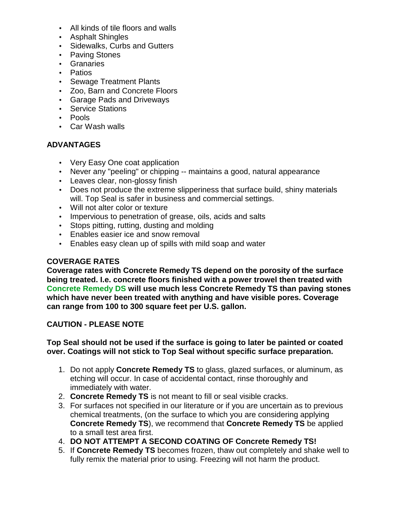- All kinds of tile floors and walls
- Asphalt Shingles
- Sidewalks, Curbs and Gutters
- Paving Stones
- Granaries
- Patios
- Sewage Treatment Plants
- Zoo, Barn and Concrete Floors
- Garage Pads and Driveways
- Service Stations
- Pools
- Car Wash walls

#### **ADVANTAGES**

- Very Easy One coat application
- Never any "peeling" or chipping -- maintains a good, natural appearance
- Leaves clear, non-glossy finish
- Does not produce the extreme slipperiness that surface build, shiny materials will. Top Seal is safer in business and commercial settings.
- Will not alter color or texture
- Impervious to penetration of grease, oils, acids and salts
- Stops pitting, rutting, dusting and molding
- Enables easier ice and snow removal
- Enables easy clean up of spills with mild soap and water

#### **COVERAGE RATES**

**Coverage rates with Concrete Remedy TS depend on the porosity of the surface being treated. I.e. concrete floors finished with a power trowel then treated with Concrete Remedy DS will use much less Concrete Remedy TS than paving stones which have never been treated with anything and have visible pores. Coverage can range from 100 to 300 square feet per U.S. gallon.** 

#### **CAUTION - PLEASE NOTE**

#### **Top Seal should not be used if the surface is going to later be painted or coated over. Coatings will not stick to Top Seal without specific surface preparation.**

- 1. Do not apply **Concrete Remedy TS** to glass, glazed surfaces, or aluminum, as etching will occur. In case of accidental contact, rinse thoroughly and immediately with water.
- 2. **Concrete Remedy TS** is not meant to fill or seal visible cracks.
- 3. For surfaces not specified in our literature or if you are uncertain as to previous chemical treatments, (on the surface to which you are considering applying **Concrete Remedy TS**), we recommend that **Concrete Remedy TS** be applied to a small test area first.
- 4. **DO NOT ATTEMPT A SECOND COATING OF Concrete Remedy TS!**
- 5. If **Concrete Remedy TS** becomes frozen, thaw out completely and shake well to fully remix the material prior to using. Freezing will not harm the product.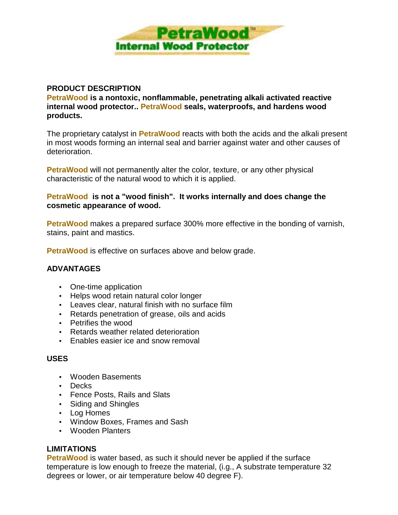

#### **PRODUCT DESCRIPTION**

**PetraWood is a nontoxic, nonflammable, penetrating alkali activated reactive internal wood protector.. PetraWood seals, waterproofs, and hardens wood products.**

The proprietary catalyst in **PetraWood** reacts with both the acids and the alkali present in most woods forming an internal seal and barrier against water and other causes of deterioration.

**PetraWood** will not permanently alter the color, texture, or any other physical characteristic of the natural wood to which it is applied.

#### **PetraWood is not a "wood finish". It works internally and does change the cosmetic appearance of wood.**

**PetraWood** makes a prepared surface 300% more effective in the bonding of varnish, stains, paint and mastics.

**PetraWood** is effective on surfaces above and below grade.

#### **ADVANTAGES**

- One-time application
- Helps wood retain natural color longer
- Leaves clear, natural finish with no surface film
- Retards penetration of grease, oils and acids
- Petrifies the wood
- Retards weather related deterioration
- Enables easier ice and snow removal

#### **USES**

- Wooden Basements
- Decks
- Fence Posts, Rails and Slats
- Siding and Shingles
- Log Homes
- Window Boxes, Frames and Sash
- Wooden Planters

#### **LIMITATIONS**

**PetraWood** is water based, as such it should never be applied if the surface temperature is low enough to freeze the material, (i.g., A substrate temperature 32 degrees or lower, or air temperature below 40 degree F).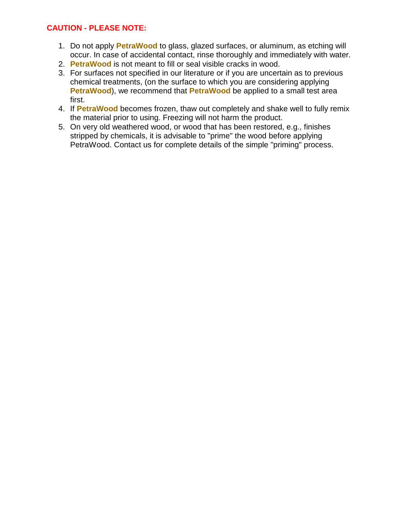#### **CAUTION - PLEASE NOTE:**

- 1. Do not apply **PetraWood** to glass, glazed surfaces, or aluminum, as etching will occur. In case of accidental contact, rinse thoroughly and immediately with water.
- 2. **PetraWood** is not meant to fill or seal visible cracks in wood.
- 3. For surfaces not specified in our literature or if you are uncertain as to previous chemical treatments, (on the surface to which you are considering applying **PetraWood**), we recommend that **PetraWood** be applied to a small test area first.
- 4. If **PetraWood** becomes frozen, thaw out completely and shake well to fully remix the material prior to using. Freezing will not harm the product.
- 5. On very old weathered wood, or wood that has been restored, e.g., finishes stripped by chemicals, it is advisable to "prime" the wood before applying PetraWood. Contact us for complete details of the simple "priming" process.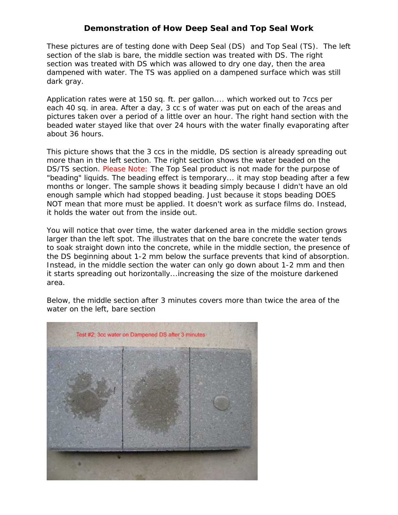#### **Demonstration of How Deep Seal and Top Seal Work**

These pictures are of testing done with Deep Seal (DS) and Top Seal (TS). The left section of the slab is bare, the middle section was treated with DS. The right section was treated with DS which was allowed to dry one day, then the area dampened with water. The TS was applied on a dampened surface which was still dark gray.

Application rates were at 150 sq. ft. per gallon.... which worked out to 7ccs per each 40 sq. in area. After a day, 3 cc s of water was put on each of the areas and pictures taken over a period of a little over an hour. The right hand section with the beaded water stayed like that over 24 hours with the water finally evaporating after about 36 hours.

This picture shows that the 3 ccs in the middle, DS section is already spreading out more than in the left section. The right section shows the water beaded on the DS/TS section. Please Note: The Top Seal product is not made for the purpose of "beading" liquids. The beading effect is temporary... it may stop beading after a few months or longer. The sample shows it beading simply because I didn't have an old enough sample which had stopped beading. Just because it stops beading DOES NOT mean that more must be applied. It doesn't work as surface films do. Instead, it holds the water out from the inside out.

You will notice that over time, the water darkened area in the middle section grows larger than the left spot. The illustrates that on the bare concrete the water tends to soak straight down into the concrete, while in the middle section, the presence of the DS beginning about 1-2 mm below the surface prevents that kind of absorption. Instead, in the middle section the water can only go down about 1-2 mm and then it starts spreading out horizontally...increasing the size of the moisture darkened area.

Below, the middle section after 3 minutes covers more than twice the area of the water on the left, bare section

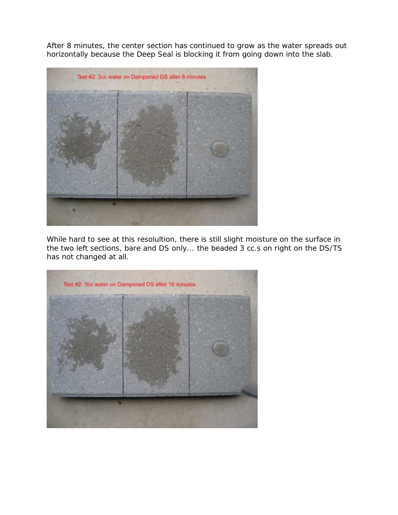After 8 minutes, the center section has continued to grow as the water spreads out horizontally because the Deep Seal is blocking it from going down into the slab.



While hard to see at this resolultion, there is still slight moisture on the surface in the two left sections, bare and DS only... the beaded 3 cc.s on right on the DS/TS has not changed at all.

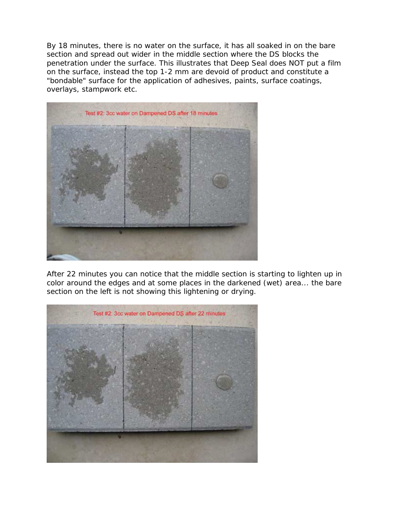By 18 minutes, there is no water on the surface, it has all soaked in on the bare section and spread out wider in the middle section where the DS blocks the penetration under the surface. This illustrates that Deep Seal does NOT put a film on the surface, instead the top 1-2 mm are devoid of product and constitute a "bondable" surface for the application of adhesives, paints, surface coatings, overlays, stampwork etc.



After 22 minutes you can notice that the middle section is starting to lighten up in color around the edges and at some places in the darkened (wet) area... the bare section on the left is not showing this lightening or drying.

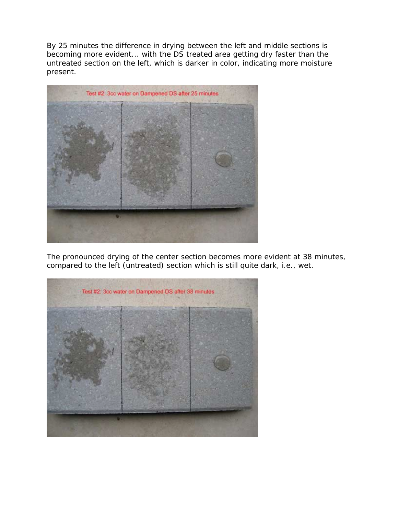By 25 minutes the difference in drying between the left and middle sections is becoming more evident... with the DS treated area getting dry faster than the untreated section on the left, which is darker in color, indicating more moisture present.



The pronounced drying of the center section becomes more evident at 38 minutes, compared to the left (untreated) section which is still quite dark, i.e., wet.

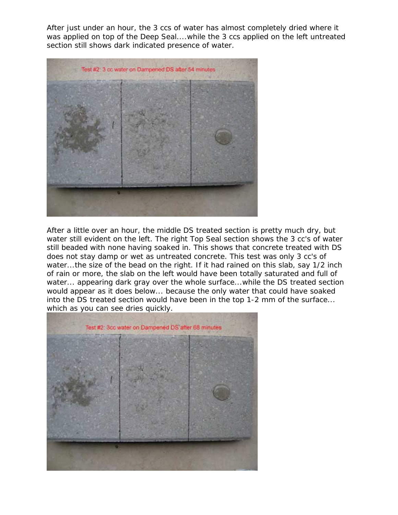After just under an hour, the 3 ccs of water has almost completely dried where it was applied on top of the Deep Seal....while the 3 ccs applied on the left untreated section still shows dark indicated presence of water.



After a little over an hour, the middle DS treated section is pretty much dry, but water still evident on the left. The right Top Seal section shows the 3 cc's of water still beaded with none having soaked in. This shows that concrete treated with DS does not stay damp or wet as untreated concrete. This test was only 3 cc's of water...the size of the bead on the right. If it had rained on this slab, say 1/2 inch of rain or more, the slab on the left would have been totally saturated and full of water... appearing dark gray over the whole surface...while the DS treated section would appear as it does below... because the only water that could have soaked into the DS treated section would have been in the top 1-2 mm of the surface... which as you can see dries quickly.

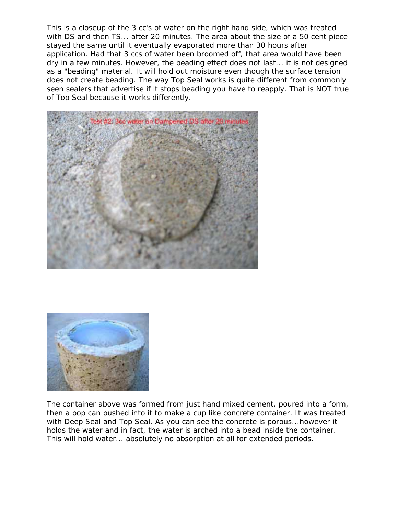This is a closeup of the 3 cc's of water on the right hand side, which was treated with DS and then TS... after 20 minutes. The area about the size of a 50 cent piece stayed the same until it eventually evaporated more than 30 hours after application. Had that 3 ccs of water been broomed off, that area would have been dry in a few minutes. However, the beading effect does not last... it is not designed as a "beading" material. It will hold out moisture even though the surface tension does not create beading. The way Top Seal works is quite different from commonly seen sealers that advertise if it stops beading you have to reapply. That is NOT true of Top Seal because it works differently.





The container above was formed from just hand mixed cement, poured into a form, then a pop can pushed into it to make a cup like concrete container. It was treated with Deep Seal and Top Seal. As you can see the concrete is porous...however it holds the water and in fact, the water is arched into a bead inside the container. This will hold water... absolutely no absorption at all for extended periods.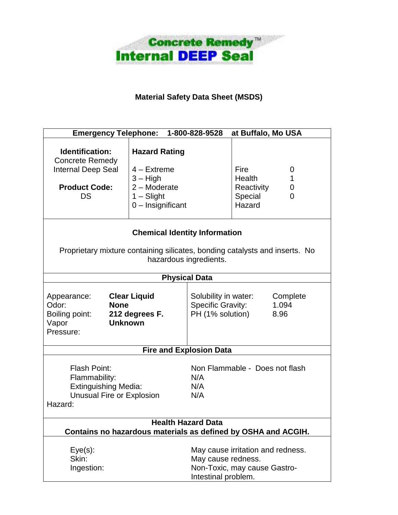

#### **Material Safety Data Sheet (MSDS)**

| at Buffalo, Mo USA<br><b>Emergency Telephone:</b><br>1-800-828-9528                                                                    |                                                                                                                                               |                                                                                                                |                                                   |                  |  |  |  |
|----------------------------------------------------------------------------------------------------------------------------------------|-----------------------------------------------------------------------------------------------------------------------------------------------|----------------------------------------------------------------------------------------------------------------|---------------------------------------------------|------------------|--|--|--|
| Identification:<br><b>Concrete Remedy</b><br><b>Internal Deep Seal</b><br><b>Product Code:</b><br>DS                                   | <b>Hazard Rating</b><br>$4 -$ Extreme<br>$3 - High$<br>$2 -$ Moderate<br>$1 -$ Slight<br>$0$ – Insignificant                                  |                                                                                                                | Fire<br>Health<br>Reactivity<br>Special<br>Hazard | 0<br>1<br>0<br>0 |  |  |  |
|                                                                                                                                        | <b>Chemical Identity Information</b><br>Proprietary mixture containing silicates, bonding catalysts and inserts. No<br>hazardous ingredients. |                                                                                                                |                                                   |                  |  |  |  |
|                                                                                                                                        |                                                                                                                                               | <b>Physical Data</b>                                                                                           |                                                   |                  |  |  |  |
| <b>Clear Liquid</b><br>Appearance:<br>Odor:<br><b>None</b><br>Boiling point:<br>212 degrees F.<br><b>Unknown</b><br>Vapor<br>Pressure: |                                                                                                                                               | Solubility in water:<br>Complete<br><b>Specific Gravity:</b><br>1.094<br>PH (1% solution)<br>8.96              |                                                   |                  |  |  |  |
|                                                                                                                                        | <b>Fire and Explosion Data</b>                                                                                                                |                                                                                                                |                                                   |                  |  |  |  |
| <b>Flash Point:</b><br>Flammability:<br><b>Extinguishing Media:</b><br>Unusual Fire or Explosion<br>Hazard:                            |                                                                                                                                               | Non Flammable - Does not flash<br>N/A<br>N/A<br>N/A                                                            |                                                   |                  |  |  |  |
| <b>Health Hazard Data</b>                                                                                                              |                                                                                                                                               |                                                                                                                |                                                   |                  |  |  |  |
| Contains no hazardous materials as defined by OSHA and ACGIH.                                                                          |                                                                                                                                               |                                                                                                                |                                                   |                  |  |  |  |
| $Eye(s)$ :<br>Skin:<br>Ingestion:                                                                                                      |                                                                                                                                               | May cause irritation and redness.<br>May cause redness.<br>Non-Toxic, may cause Gastro-<br>Intestinal problem. |                                                   |                  |  |  |  |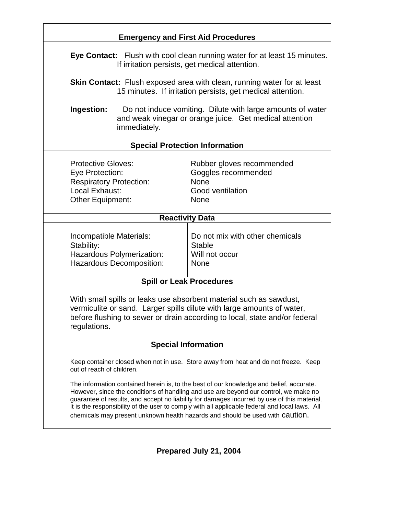|                                                                                                                                                                                                                                                                                                                                                                                                                                                                   | <b>Emergency and First Aid Procedures</b>                                                                                                    |  |  |  |  |  |
|-------------------------------------------------------------------------------------------------------------------------------------------------------------------------------------------------------------------------------------------------------------------------------------------------------------------------------------------------------------------------------------------------------------------------------------------------------------------|----------------------------------------------------------------------------------------------------------------------------------------------|--|--|--|--|--|
|                                                                                                                                                                                                                                                                                                                                                                                                                                                                   | Eye Contact: Flush with cool clean running water for at least 15 minutes.<br>If irritation persists, get medical attention.                  |  |  |  |  |  |
|                                                                                                                                                                                                                                                                                                                                                                                                                                                                   | <b>Skin Contact:</b> Flush exposed area with clean, running water for at least<br>15 minutes. If irritation persists, get medical attention. |  |  |  |  |  |
| Ingestion:<br>immediately.                                                                                                                                                                                                                                                                                                                                                                                                                                        | Do not induce vomiting. Dilute with large amounts of water<br>and weak vinegar or orange juice. Get medical attention                        |  |  |  |  |  |
| <b>Special Protection Information</b>                                                                                                                                                                                                                                                                                                                                                                                                                             |                                                                                                                                              |  |  |  |  |  |
| <b>Protective Gloves:</b><br>Eye Protection:<br><b>Respiratory Protection:</b><br>Local Exhaust:<br>Other Equipment:                                                                                                                                                                                                                                                                                                                                              | Rubber gloves recommended<br>Goggles recommended<br><b>None</b><br>Good ventilation<br>None                                                  |  |  |  |  |  |
| <b>Reactivity Data</b>                                                                                                                                                                                                                                                                                                                                                                                                                                            |                                                                                                                                              |  |  |  |  |  |
| Do not mix with other chemicals<br>Incompatible Materials:<br><b>Stable</b><br>Stability:<br>Hazardous Polymerization:<br>Will not occur<br>Hazardous Decomposition:<br>None                                                                                                                                                                                                                                                                                      |                                                                                                                                              |  |  |  |  |  |
| <b>Spill or Leak Procedures</b>                                                                                                                                                                                                                                                                                                                                                                                                                                   |                                                                                                                                              |  |  |  |  |  |
| With small spills or leaks use absorbent material such as sawdust,<br>vermiculite or sand. Larger spills dilute with large amounts of water,<br>before flushing to sewer or drain according to local, state and/or federal<br>regulations.                                                                                                                                                                                                                        |                                                                                                                                              |  |  |  |  |  |
| <b>Special Information</b>                                                                                                                                                                                                                                                                                                                                                                                                                                        |                                                                                                                                              |  |  |  |  |  |
| Keep container closed when not in use. Store away from heat and do not freeze. Keep<br>out of reach of children.                                                                                                                                                                                                                                                                                                                                                  |                                                                                                                                              |  |  |  |  |  |
| The information contained herein is, to the best of our knowledge and belief, accurate.<br>However, since the conditions of handling and use are beyond our control, we make no<br>guarantee of results, and accept no liability for damages incurred by use of this material.<br>It is the responsibility of the user to comply with all applicable federal and local laws. All<br>chemicals may present unknown health hazards and should be used with Caution. |                                                                                                                                              |  |  |  |  |  |
|                                                                                                                                                                                                                                                                                                                                                                                                                                                                   |                                                                                                                                              |  |  |  |  |  |

**Prepared July 21, 2004**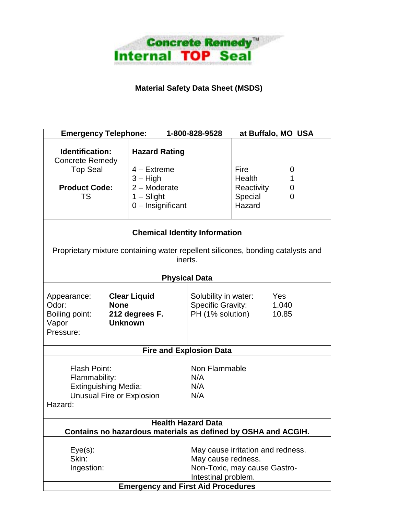

### **Material Safety Data Sheet (MSDS)**

| <b>Emergency Telephone:</b>                                                                                                            |                                                                                                              | 1-800-828-9528                                                                                | at Buffalo, MO USA                                                           |  |  |  |
|----------------------------------------------------------------------------------------------------------------------------------------|--------------------------------------------------------------------------------------------------------------|-----------------------------------------------------------------------------------------------|------------------------------------------------------------------------------|--|--|--|
| <b>Identification:</b><br><b>Concrete Remedy</b><br><b>Top Seal</b><br><b>Product Code:</b><br>TS                                      | <b>Hazard Rating</b><br>$4 -$ Extreme<br>$3 - High$<br>$2 -$ Moderate<br>$1 -$ Slight<br>$0$ – Insignificant |                                                                                               | Fire<br>0<br><b>Health</b><br>1<br>Reactivity<br>0<br>Special<br>0<br>Hazard |  |  |  |
| <b>Chemical Identity Information</b><br>Proprietary mixture containing water repellent silicones, bonding catalysts and<br>inerts.     |                                                                                                              |                                                                                               |                                                                              |  |  |  |
|                                                                                                                                        |                                                                                                              | <b>Physical Data</b>                                                                          |                                                                              |  |  |  |
| <b>Clear Liquid</b><br>Appearance:<br>Odor:<br><b>None</b><br>Boiling point:<br>212 degrees F.<br><b>Unknown</b><br>Vapor<br>Pressure: |                                                                                                              | Solubility in water:<br>Yes<br><b>Specific Gravity:</b><br>1.040<br>PH (1% solution)<br>10.85 |                                                                              |  |  |  |
| <b>Fire and Explosion Data</b>                                                                                                         |                                                                                                              |                                                                                               |                                                                              |  |  |  |
| <b>Flash Point:</b><br>Flammability:<br><b>Extinguishing Media:</b><br>Unusual Fire or Explosion<br>Hazard:                            |                                                                                                              | Non Flammable<br>N/A<br>N/A<br>N/A                                                            |                                                                              |  |  |  |
| <b>Health Hazard Data</b>                                                                                                              |                                                                                                              |                                                                                               |                                                                              |  |  |  |
|                                                                                                                                        |                                                                                                              |                                                                                               | Contains no hazardous materials as defined by OSHA and ACGIH.                |  |  |  |
| $Eye(s)$ :<br>Skin:<br>Ingestion:                                                                                                      |                                                                                                              | May cause redness.<br>Intestinal problem.                                                     | May cause irritation and redness.<br>Non-Toxic, may cause Gastro-            |  |  |  |
|                                                                                                                                        | <b>Emergency and First Aid Procedures</b>                                                                    |                                                                                               |                                                                              |  |  |  |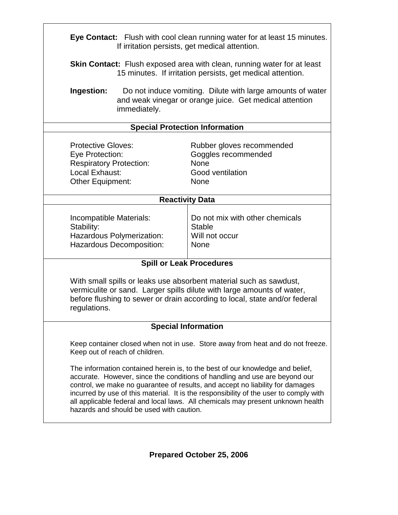| Eye Contact: Flush with cool clean running water for at least 15 minutes.<br>If irritation persists, get medical attention.                                                                                                                                                                                                                                                                                                                                          |                                                                                                                                              |  |  |  |  |  |
|----------------------------------------------------------------------------------------------------------------------------------------------------------------------------------------------------------------------------------------------------------------------------------------------------------------------------------------------------------------------------------------------------------------------------------------------------------------------|----------------------------------------------------------------------------------------------------------------------------------------------|--|--|--|--|--|
|                                                                                                                                                                                                                                                                                                                                                                                                                                                                      | <b>Skin Contact:</b> Flush exposed area with clean, running water for at least<br>15 minutes. If irritation persists, get medical attention. |  |  |  |  |  |
| Ingestion:<br>immediately.                                                                                                                                                                                                                                                                                                                                                                                                                                           | Do not induce vomiting. Dilute with large amounts of water<br>and weak vinegar or orange juice. Get medical attention                        |  |  |  |  |  |
|                                                                                                                                                                                                                                                                                                                                                                                                                                                                      | <b>Special Protection Information</b>                                                                                                        |  |  |  |  |  |
| <b>Protective Gloves:</b><br>Rubber gloves recommended<br>Goggles recommended<br>Eye Protection:<br><b>Respiratory Protection:</b><br><b>None</b><br>Local Exhaust:<br>Good ventilation<br><b>None</b><br>Other Equipment:                                                                                                                                                                                                                                           |                                                                                                                                              |  |  |  |  |  |
|                                                                                                                                                                                                                                                                                                                                                                                                                                                                      | <b>Reactivity Data</b>                                                                                                                       |  |  |  |  |  |
| Incompatible Materials:<br>Stability:<br>Hazardous Polymerization:<br>Hazardous Decomposition:                                                                                                                                                                                                                                                                                                                                                                       | Do not mix with other chemicals<br><b>Stable</b><br>Will not occur<br><b>None</b>                                                            |  |  |  |  |  |
| <b>Spill or Leak Procedures</b>                                                                                                                                                                                                                                                                                                                                                                                                                                      |                                                                                                                                              |  |  |  |  |  |
| With small spills or leaks use absorbent material such as sawdust,<br>vermiculite or sand. Larger spills dilute with large amounts of water,<br>before flushing to sewer or drain according to local, state and/or federal<br>regulations.                                                                                                                                                                                                                           |                                                                                                                                              |  |  |  |  |  |
| <b>Special Information</b>                                                                                                                                                                                                                                                                                                                                                                                                                                           |                                                                                                                                              |  |  |  |  |  |
| Keep container closed when not in use. Store away from heat and do not freeze.<br>Keep out of reach of children.                                                                                                                                                                                                                                                                                                                                                     |                                                                                                                                              |  |  |  |  |  |
| The information contained herein is, to the best of our knowledge and belief,<br>accurate. However, since the conditions of handling and use are beyond our<br>control, we make no guarantee of results, and accept no liability for damages<br>incurred by use of this material. It is the responsibility of the user to comply with<br>all applicable federal and local laws. All chemicals may present unknown health<br>hazards and should be used with caution. |                                                                                                                                              |  |  |  |  |  |

 $\overline{1}$ 

**Prepared October 25, 2006**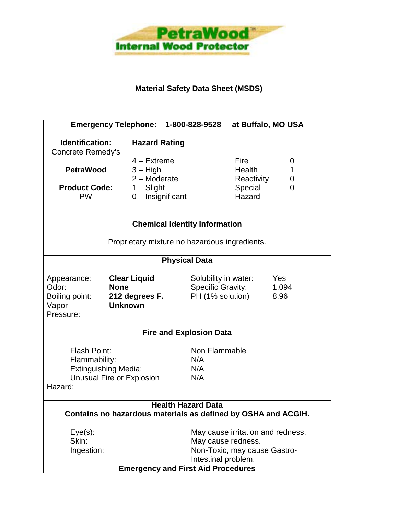

#### **Material Safety Data Sheet (MSDS)**

| at Buffalo, MO USA<br><b>Emergency Telephone:</b><br>1-800-828-9528                                                                               |                                                                                       |                                                                                              |                                                       |                  |  |  |
|---------------------------------------------------------------------------------------------------------------------------------------------------|---------------------------------------------------------------------------------------|----------------------------------------------------------------------------------------------|-------------------------------------------------------|------------------|--|--|
| Identification:<br>Concrete Remedy's<br><b>PetraWood</b><br><b>Product Code:</b>                                                                  | <b>Hazard Rating</b><br>$4 -$ Extreme<br>$3 - High$<br>$2 -$ Moderate<br>$1 -$ Slight |                                                                                              | <b>Fire</b><br><b>Health</b><br>Reactivity<br>Special | 0<br>1<br>0<br>0 |  |  |
| <b>PW</b>                                                                                                                                         | $0$ – Insignificant                                                                   |                                                                                              | Hazard                                                |                  |  |  |
| <b>Chemical Identity Information</b><br>Proprietary mixture no hazardous ingredients.                                                             |                                                                                       |                                                                                              |                                                       |                  |  |  |
|                                                                                                                                                   |                                                                                       | <b>Physical Data</b>                                                                         |                                                       |                  |  |  |
| <b>Clear Liquid</b><br>Appearance:<br>Odor:<br><b>None</b><br>Boiling point:<br>212 degrees F.<br>Vapor<br><b>Unknown</b><br>Pressure:            |                                                                                       | Solubility in water:<br>Yes<br><b>Specific Gravity:</b><br>1.094<br>PH (1% solution)<br>8.96 |                                                       |                  |  |  |
| <b>Fire and Explosion Data</b>                                                                                                                    |                                                                                       |                                                                                              |                                                       |                  |  |  |
| Non Flammable<br><b>Flash Point:</b><br>Flammability:<br>N/A<br><b>Extinguishing Media:</b><br>N/A<br>Unusual Fire or Explosion<br>N/A<br>Hazard: |                                                                                       |                                                                                              |                                                       |                  |  |  |
| <b>Health Hazard Data</b><br>Contains no hazardous materials as defined by OSHA and ACGIH.                                                        |                                                                                       |                                                                                              |                                                       |                  |  |  |
|                                                                                                                                                   |                                                                                       |                                                                                              |                                                       |                  |  |  |
| $Eye(s)$ :                                                                                                                                        |                                                                                       | May cause irritation and redness.                                                            |                                                       |                  |  |  |
| Skin:<br>Ingestion:                                                                                                                               |                                                                                       | May cause redness.                                                                           |                                                       |                  |  |  |
| Non-Toxic, may cause Gastro-<br>Intestinal problem.                                                                                               |                                                                                       |                                                                                              |                                                       |                  |  |  |
|                                                                                                                                                   | <b>Emergency and First Aid Procedures</b>                                             |                                                                                              |                                                       |                  |  |  |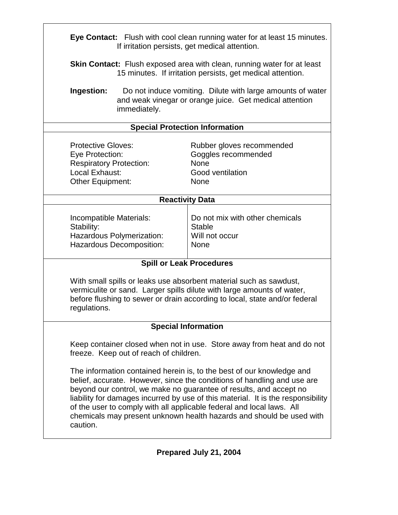| Eye Contact: Flush with cool clean running water for at least 15 minutes.<br>If irritation persists, get medical attention.                                                                                                                                                                                                                                                                                                                                             |                                                                                                                                              |  |  |  |  |  |
|-------------------------------------------------------------------------------------------------------------------------------------------------------------------------------------------------------------------------------------------------------------------------------------------------------------------------------------------------------------------------------------------------------------------------------------------------------------------------|----------------------------------------------------------------------------------------------------------------------------------------------|--|--|--|--|--|
|                                                                                                                                                                                                                                                                                                                                                                                                                                                                         | <b>Skin Contact:</b> Flush exposed area with clean, running water for at least<br>15 minutes. If irritation persists, get medical attention. |  |  |  |  |  |
| Ingestion:<br>immediately.                                                                                                                                                                                                                                                                                                                                                                                                                                              | Do not induce vomiting. Dilute with large amounts of water<br>and weak vinegar or orange juice. Get medical attention                        |  |  |  |  |  |
| <b>Special Protection Information</b>                                                                                                                                                                                                                                                                                                                                                                                                                                   |                                                                                                                                              |  |  |  |  |  |
| <b>Protective Gloves:</b><br>Rubber gloves recommended<br>Goggles recommended<br>Eye Protection:<br><b>Respiratory Protection:</b><br>None<br>Local Exhaust:<br>Good ventilation<br><b>Other Equipment:</b><br><b>None</b>                                                                                                                                                                                                                                              |                                                                                                                                              |  |  |  |  |  |
| <b>Reactivity Data</b>                                                                                                                                                                                                                                                                                                                                                                                                                                                  |                                                                                                                                              |  |  |  |  |  |
| Do not mix with other chemicals<br>Incompatible Materials:<br>Stability:<br><b>Stable</b><br>Hazardous Polymerization:<br>Will not occur<br>Hazardous Decomposition:<br><b>None</b>                                                                                                                                                                                                                                                                                     |                                                                                                                                              |  |  |  |  |  |
| <b>Spill or Leak Procedures</b>                                                                                                                                                                                                                                                                                                                                                                                                                                         |                                                                                                                                              |  |  |  |  |  |
| With small spills or leaks use absorbent material such as sawdust,<br>vermiculite or sand. Larger spills dilute with large amounts of water,<br>before flushing to sewer or drain according to local, state and/or federal<br>regulations.                                                                                                                                                                                                                              |                                                                                                                                              |  |  |  |  |  |
| <b>Special Information</b>                                                                                                                                                                                                                                                                                                                                                                                                                                              |                                                                                                                                              |  |  |  |  |  |
| Keep container closed when not in use. Store away from heat and do not<br>freeze. Keep out of reach of children.                                                                                                                                                                                                                                                                                                                                                        |                                                                                                                                              |  |  |  |  |  |
| The information contained herein is, to the best of our knowledge and<br>belief, accurate. However, since the conditions of handling and use are<br>beyond our control, we make no guarantee of results, and accept no<br>liability for damages incurred by use of this material. It is the responsibility<br>of the user to comply with all applicable federal and local laws. All<br>chemicals may present unknown health hazards and should be used with<br>caution. |                                                                                                                                              |  |  |  |  |  |

 $\overline{1}$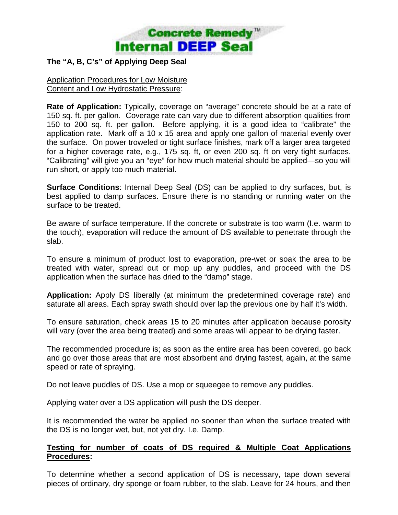

#### **The "A, B, C's" of Applying Deep Seal**

Application Procedures for Low Moisture Content and Low Hydrostatic Pressure:

**Rate of Application:** Typically, coverage on "average" concrete should be at a rate of 150 sq. ft. per gallon. Coverage rate can vary due to different absorption qualities from 150 to 200 sq. ft. per gallon. Before applying, it is a good idea to "calibrate" the application rate. Mark off a 10 x 15 area and apply one gallon of material evenly over the surface. On power troweled or tight surface finishes, mark off a larger area targeted for a higher coverage rate, e.g., 175 sq. ft, or even 200 sq. ft on very tight surfaces. "Calibrating" will give you an "eye" for how much material should be applied—so you will run short, or apply too much material.

**Surface Conditions**: Internal Deep Seal (DS) can be applied to dry surfaces, but, is best applied to damp surfaces. Ensure there is no standing or running water on the surface to be treated.

Be aware of surface temperature. If the concrete or substrate is too warm (I.e. warm to the touch), evaporation will reduce the amount of DS available to penetrate through the slab.

To ensure a minimum of product lost to evaporation, pre-wet or soak the area to be treated with water, spread out or mop up any puddles, and proceed with the DS application when the surface has dried to the "damp" stage.

**Application:** Apply DS liberally (at minimum the predetermined coverage rate) and saturate all areas. Each spray swath should over lap the previous one by half it's width.

To ensure saturation, check areas 15 to 20 minutes after application because porosity will vary (over the area being treated) and some areas will appear to be drying faster.

The recommended procedure is; as soon as the entire area has been covered, go back and go over those areas that are most absorbent and drying fastest, again, at the same speed or rate of spraying.

Do not leave puddles of DS. Use a mop or squeegee to remove any puddles.

Applying water over a DS application will push the DS deeper.

It is recommended the water be applied no sooner than when the surface treated with the DS is no longer wet, but, not yet dry. I.e. Damp.

#### **Testing for number of coats of DS required & Multiple Coat Applications Procedures:**

To determine whether a second application of DS is necessary, tape down several pieces of ordinary, dry sponge or foam rubber, to the slab. Leave for 24 hours, and then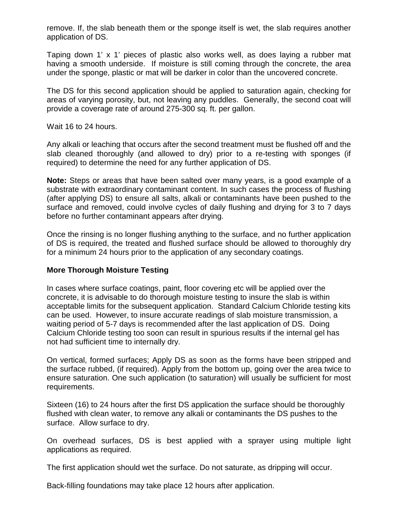remove. If, the slab beneath them or the sponge itself is wet, the slab requires another application of DS.

Taping down 1' x 1' pieces of plastic also works well, as does laying a rubber mat having a smooth underside. If moisture is still coming through the concrete, the area under the sponge, plastic or mat will be darker in color than the uncovered concrete.

The DS for this second application should be applied to saturation again, checking for areas of varying porosity, but, not leaving any puddles. Generally, the second coat will provide a coverage rate of around 275-300 sq. ft. per gallon.

Wait 16 to 24 hours.

Any alkali or leaching that occurs after the second treatment must be flushed off and the slab cleaned thoroughly (and allowed to dry) prior to a re-testing with sponges (if required) to determine the need for any further application of DS.

**Note:** Steps or areas that have been salted over many years, is a good example of a substrate with extraordinary contaminant content. In such cases the process of flushing (after applying DS) to ensure all salts, alkali or contaminants have been pushed to the surface and removed, could involve cycles of daily flushing and drying for 3 to 7 days before no further contaminant appears after drying.

Once the rinsing is no longer flushing anything to the surface, and no further application of DS is required, the treated and flushed surface should be allowed to thoroughly dry for a minimum 24 hours prior to the application of any secondary coatings.

#### **More Thorough Moisture Testing**

In cases where surface coatings, paint, floor covering etc will be applied over the concrete, it is advisable to do thorough moisture testing to insure the slab is within acceptable limits for the subsequent application. Standard Calcium Chloride testing kits can be used. However, to insure accurate readings of slab moisture transmission, a waiting period of 5-7 days is recommended after the last application of DS. Doing Calcium Chloride testing too soon can result in spurious results if the internal gel has not had sufficient time to internally dry.

On vertical, formed surfaces; Apply DS as soon as the forms have been stripped and the surface rubbed, (if required). Apply from the bottom up, going over the area twice to ensure saturation. One such application (to saturation) will usually be sufficient for most requirements.

Sixteen (16) to 24 hours after the first DS application the surface should be thoroughly flushed with clean water, to remove any alkali or contaminants the DS pushes to the surface. Allow surface to dry.

On overhead surfaces, DS is best applied with a sprayer using multiple light applications as required.

The first application should wet the surface. Do not saturate, as dripping will occur.

Back-filling foundations may take place 12 hours after application.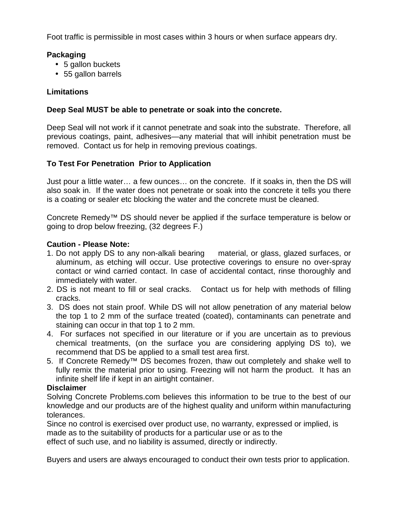Foot traffic is permissible in most cases within 3 hours or when surface appears dry.

#### **Packaging**

- 5 gallon buckets
- 55 gallon barrels

#### **Limitations**

#### **Deep Seal MUST be able to penetrate or soak into the concrete.**

Deep Seal will not work if it cannot penetrate and soak into the substrate. Therefore, all previous coatings, paint, adhesives—any material that will inhibit penetration must be removed. Contact us for help in removing previous coatings.

#### **To Test For Penetration Prior to Application**

Just pour a little water… a few ounces… on the concrete. If it soaks in, then the DS will also soak in. If the water does not penetrate or soak into the concrete it tells you there is a coating or sealer etc blocking the water and the concrete must be cleaned.

Concrete Remedy™ DS should never be applied if the surface temperature is below or going to drop below freezing, (32 degrees F.)

#### **Caution - Please Note:**

- 1. Do not apply DS to any non-alkali bearing material, or glass, glazed surfaces, or aluminum, as etching will occur. Use protective coverings to ensure no over-spray contact or wind carried contact. In case of accidental contact, rinse thoroughly and immediately with water.
- 2. DS is not meant to fill or seal cracks. Contact us for help with methods of filling cracks.
- 3. DS does not stain proof. While DS will not allow penetration of any material below the top 1 to 2 mm of the surface treated (coated), contaminants can penetrate and staining can occur in that top 1 to 2 mm.
- 4. For surfaces not specified in our literature or if you are uncertain as to previous chemical treatments, (on the surface you are considering applying DS to), we recommend that DS be applied to a small test area first.
- 5. If Concrete Remedy™ DS becomes frozen, thaw out completely and shake well to fully remix the material prior to using. Freezing will not harm the product. It has an infinite shelf life if kept in an airtight container.

#### **Disclaimer**

Solving Concrete Problems.com believes this information to be true to the best of our knowledge and our products are of the highest quality and uniform within manufacturing tolerances.

Since no control is exercised over product use, no warranty, expressed or implied, is made as to the suitability of products for a particular use or as to the effect of such use, and no liability is assumed, directly or indirectly.

Buyers and users are always encouraged to conduct their own tests prior to application.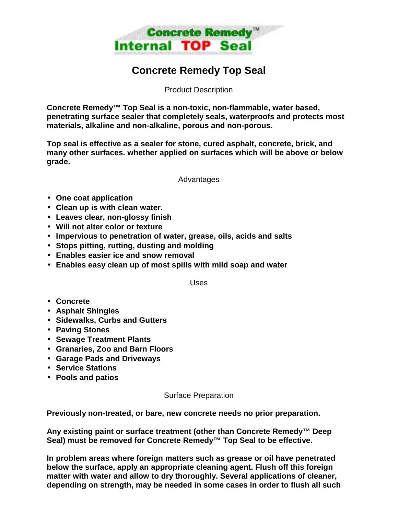

### **Concrete Remedy Top Seal**

Product Description

**Concrete Remedy™ Top Seal is a non-toxic, non-flammable, water based, penetrating surface sealer that completely seals, waterproofs and protects most materials, alkaline and non-alkaline, porous and non-porous.** 

**Top seal is effective as a sealer for stone, cured asphalt, concrete, brick, and many other surfaces. whether applied on surfaces which will be above or below grade.** 

Advantages

- **One coat application**
- **Clean up is with clean water.**
- **Leaves clear, non-glossy finish**
- **Will not alter color or texture**
- **Impervious to penetration of water, grease, oils, acids and salts**
- **Stops pitting, rutting, dusting and molding**
- **Enables easier ice and snow removal**
- **Enables easy clean up of most spills with mild soap and water**

Uses

- **Concrete**
- **Asphalt Shingles**
- **Sidewalks, Curbs and Gutters**
- **Paving Stones**
- **Sewage Treatment Plants**
- **Granaries, Zoo and Barn Floors**
- **Garage Pads and Driveways**
- **Service Stations**
- **Pools and patios**

Surface Preparation

**Previously non-treated, or bare, new concrete needs no prior preparation.** 

**Any existing paint or surface treatment (other than Concrete Remedy™ Deep Seal) must be removed for Concrete Remedy™ Top Seal to be effective.** 

**In problem areas where foreign matters such as grease or oil have penetrated below the surface, apply an appropriate cleaning agent. Flush off this foreign matter with water and allow to dry thoroughly. Several applications of cleaner, depending on strength, may be needed in some cases in order to flush all such**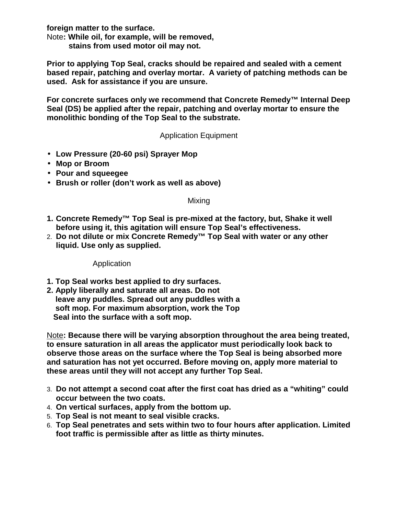**foreign matter to the surface.** 

Note**: While oil, for example, will be removed,** 

 **stains from used motor oil may not.** 

**Prior to applying Top Seal, cracks should be repaired and sealed with a cement based repair, patching and overlay mortar. A variety of patching methods can be used. Ask for assistance if you are unsure.** 

**For concrete surfaces only we recommend that Concrete Remedy™ Internal Deep Seal (DS) be applied after the repair, patching and overlay mortar to ensure the monolithic bonding of the Top Seal to the substrate.** 

Application Equipment

- **Low Pressure (20-60 psi) Sprayer Mop**
- **Mop or Broom**
- **Pour and squeegee**
- **Brush or roller (don't work as well as above)**

#### Mixing

- **1. Concrete Remedy™ Top Seal is pre-mixed at the factory, but, Shake it well before using it, this agitation will ensure Top Seal's effectiveness.**
- 2. **Do not dilute or mix Concrete Remedy™ Top Seal with water or any other liquid. Use only as supplied.**

Application

- **1. Top Seal works best applied to dry surfaces.**
- **2. Apply liberally and saturate all areas. Do not leave any puddles. Spread out any puddles with a soft mop. For maximum absorption, work the Top Seal into the surface with a soft mop.**

Note**: Because there will be varying absorption throughout the area being treated, to ensure saturation in all areas the applicator must periodically look back to observe those areas on the surface where the Top Seal is being absorbed more and saturation has not yet occurred. Before moving on, apply more material to these areas until they will not accept any further Top Seal.** 

- 3. **Do not attempt a second coat after the first coat has dried as a "whiting" could occur between the two coats.**
- 4. **On vertical surfaces, apply from the bottom up.**
- 5. **Top Seal is not meant to seal visible cracks.**
- 6. **Top Seal penetrates and sets within two to four hours after application. Limited foot traffic is permissible after as little as thirty minutes.**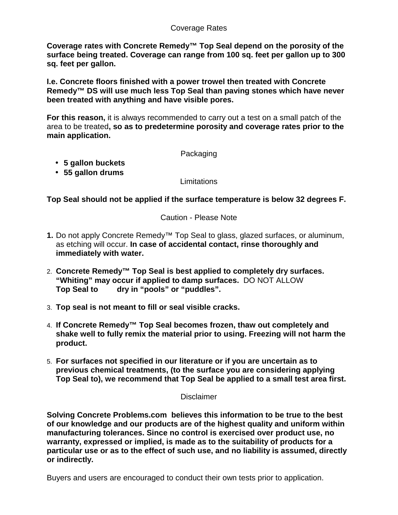#### Coverage Rates

**Coverage rates with Concrete Remedy™ Top Seal depend on the porosity of the surface being treated. Coverage can range from 100 sq. feet per gallon up to 300 sq. feet per gallon.** 

**I.e. Concrete floors finished with a power trowel then treated with Concrete Remedy™ DS will use much less Top Seal than paving stones which have never been treated with anything and have visible pores.** 

**For this reason,** it is always recommended to carry out a test on a small patch of the area to be treated**, so as to predetermine porosity and coverage rates prior to the main application.** 

#### Packaging

- **5 gallon buckets**
- **55 gallon drums**

#### **Limitations**

**Top Seal should not be applied if the surface temperature is below 32 degrees F.** 

Caution - Please Note

- **1.** Do not apply Concrete Remedy™ Top Seal to glass, glazed surfaces, or aluminum, as etching will occur. **In case of accidental contact, rinse thoroughly and immediately with water.**
- 2. **Concrete Remedy™ Top Seal is best applied to completely dry surfaces. "Whiting" may occur if applied to damp surfaces.** DO NOT ALLOW **Top Seal to dry in "pools" or "puddles".**
- 3. **Top seal is not meant to fill or seal visible cracks.**
- 4. **If Concrete Remedy™ Top Seal becomes frozen, thaw out completely and shake well to fully remix the material prior to using. Freezing will not harm the product.**
- 5. **For surfaces not specified in our literature or if you are uncertain as to previous chemical treatments, (to the surface you are considering applying Top Seal to), we recommend that Top Seal be applied to a small test area first.**

#### Disclaimer

**Solving Concrete Problems.com believes this information to be true to the best of our knowledge and our products are of the highest quality and uniform within manufacturing tolerances. Since no control is exercised over product use, no warranty, expressed or implied, is made as to the suitability of products for a particular use or as to the effect of such use, and no liability is assumed, directly or indirectly.** 

Buyers and users are encouraged to conduct their own tests prior to application.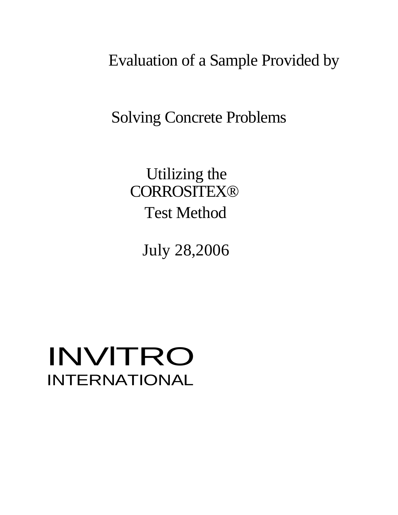Evaluation of a Sample Provided by

Solving Concrete Problems

Utilizing the **CORROSITEX®** Test Method

July 28,2006

# INVlTRO INTERNATIONAL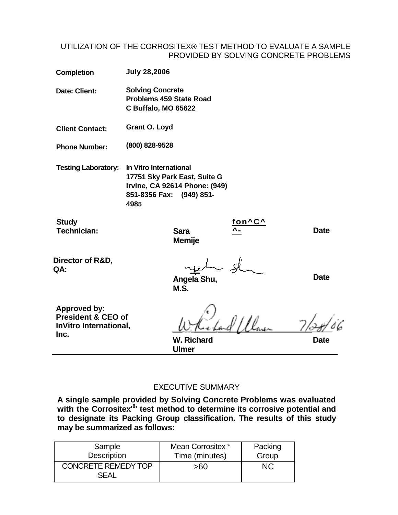#### UTILIZATION OF THE CORROSITEX® TEST METHOD TO EVALUATE A SAMPLE PROVIDED BY SOLVING CONCRETE PROBLEMS

| <b>Completion</b> | <b>July 28,2006</b> |
|-------------------|---------------------|
|                   |                     |

**Date: Client: Solving Concrete Problems 459 State Road C Buffalo, MO 65622** 

**Client Contact: Grant O. Loyd** 

**Phone Number: (800) 828-9528** 

**Testing Laboratory: In Vitro International 17751 Sky Park East, Suite G Irvine, CA 92614 Phone: (949) 851-8356 Fax: (949) 851- 4985**

**Study Technician: Sara** 

**Memije**

**M.S.**

**^- Date**

**Director of R&D, QA:**

**Angela Shu,** 

**Date**

**Approved by: President & CEO of InVitro International, Inc. W. Richard** 

**fon^C^**

**Ulmer**

**Date**

#### EXECUTIVE SUMMARY

**A single sample provided by Solving Concrete Problems was evaluated with the Corrositex'<sup>8</sup> ' test method to determine its corrosive potential and to designate its Packing Group classification. The results of this study may be summarized as follows:**

| Sample                                    | Mean Corrositex * | Packing |
|-------------------------------------------|-------------------|---------|
| <b>Description</b>                        | Time (minutes)    | Group   |
| <b>CONCRETE REMEDY TOP</b><br><b>SEAL</b> | >60               | ΝC      |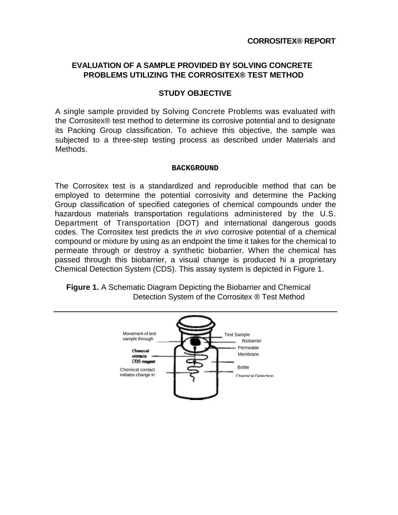#### **EVALUATION OF A SAMPLE PROVIDED BY SOLVING CONCRETE PROBLEMS UTILIZING THE CORROSITEX® TEST METHOD**

#### **STUDY OBJECTIVE**

A single sample provided by Solving Concrete Problems was evaluated with the Corrositex® test method to determine its corrosive potential and to designate its Packing Group classification. To achieve this objective, the sample was subjected to a three-step testing process as described under Materials and Methods.

#### **BACKGROUND**

The Corrositex test is a standardized and reproducible method that can be employed to determine the potential corrosivity and determine the Packing Group classification of specified categories of chemical compounds under the hazardous materials transportation regulations administered by the U.S. Department of Transportation (DOT) and international dangerous goods codes. The Corrositex test predicts the *in vivo* corrosive potential of a chemical compound or mixture by using as an endpoint the time it takes for the chemical to permeate through or destroy a synthetic biobarrier. When the chemical has passed through this biobarrier, a visual change is produced hi a proprietary Chemical Detection System (CDS). This assay system is depicted in Figure 1.

**Figure 1.** A Schematic Diagram Depicting the Biobarrier and Chemical Detection System of the Corrositex ® Test Method

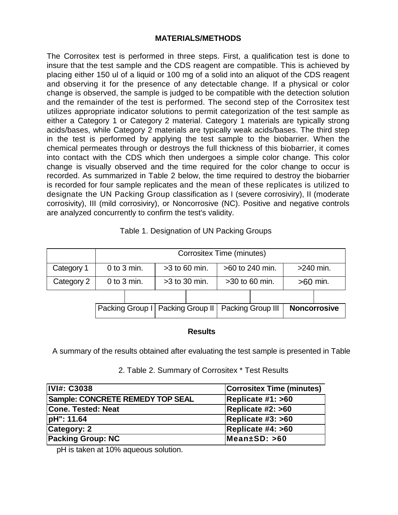#### **MATERIALS/METHODS**

The Corrositex test is performed in three steps. First, a qualification test is done to insure that the test sample and the CDS reagent are compatible. This is achieved by placing either 150 ul of a liquid or 100 mg of a solid into an aliquot of the CDS reagent and observing it for the presence of any detectable change. If a physical or color change is observed, the sample is judged to be compatible with the detection solution and the remainder of the test is performed. The second step of the Corrositex test utilizes appropriate indicator solutions to permit categorization of the test sample as either a Category 1 or Category 2 material. Category 1 materials are typically strong acids/bases, while Category 2 materials are typically weak acids/bases. The third step in the test is performed by applying the test sample to the biobarrier. When the chemical permeates through or destroys the full thickness of this biobarrier, it comes into contact with the CDS which then undergoes a simple color change. This color change is visually observed and the time required for the color change to occur is recorded. As summarized in Table 2 below, the time required to destroy the biobarrier is recorded for four sample replicates and the mean of these replicates is utilized to designate the UN Packing Group classification as I (severe corrosiviry), II (moderate corrosivity), III (mild corrosiviry), or Noncorrosive (NC). Positive and negative controls are analyzed concurrently to confirm the test's validity.

| Table 1. Designation of UN Packing Groups |  |
|-------------------------------------------|--|
|-------------------------------------------|--|

|            | Corrositex Time (minutes)                                            |                 |                 |  |                                                        |  |            |                     |
|------------|----------------------------------------------------------------------|-----------------|-----------------|--|--------------------------------------------------------|--|------------|---------------------|
| Category 1 | $0$ to $3$ min.<br>>60 to 240 min.<br>$>240$ min.<br>$>3$ to 60 min. |                 |                 |  |                                                        |  |            |                     |
| Category 2 |                                                                      | $0$ to $3$ min. | $>3$ to 30 min. |  | >30 to 60 min.                                         |  | $>60$ min. |                     |
|            |                                                                      |                 |                 |  |                                                        |  |            |                     |
|            |                                                                      |                 |                 |  | Packing Group I   Packing Group II   Packing Group III |  |            | <b>Noncorrosive</b> |

#### **Results**

A summary of the results obtained after evaluating the test sample is presented in Table

| <b>IVI#: C3038</b>               | <b>Corrositex Time (minutes)</b> |
|----------------------------------|----------------------------------|
| Sample: CONCRETE REMEDY TOP SEAL | Replicate #1: >60                |
| <b>Cone. Tested: Neat</b>        | Replicate #2: >60                |
| pH": 11.64                       | Replicate #3: $>60$              |
| Category: 2                      | Replicate #4: >60                |
| <b>Packing Group: NC</b>         | $ \text{Mean}\pm\text{SD}:$ >60  |

2. Table 2. Summary of Corrositex \* Test Results

pH is taken at 10% aqueous solution.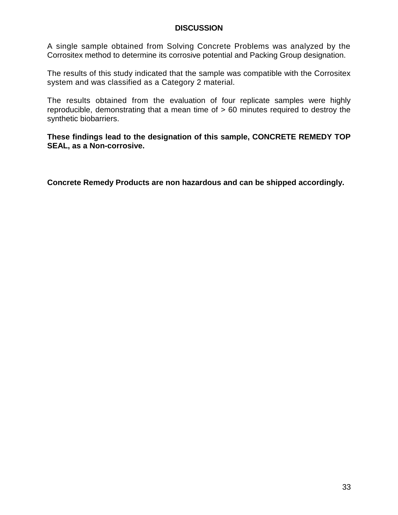#### **DISCUSSION**

A single sample obtained from Solving Concrete Problems was analyzed by the Corrositex method to determine its corrosive potential and Packing Group designation.

The results of this study indicated that the sample was compatible with the Corrositex system and was classified as a Category 2 material.

The results obtained from the evaluation of four replicate samples were highly reproducible, demonstrating that a mean time of > 60 minutes required to destroy the synthetic biobarriers.

**These findings lead to the designation of this sample, CONCRETE REMEDY TOP SEAL, as a Non-corrosive.** 

**Concrete Remedy Products are non hazardous and can be shipped accordingly.**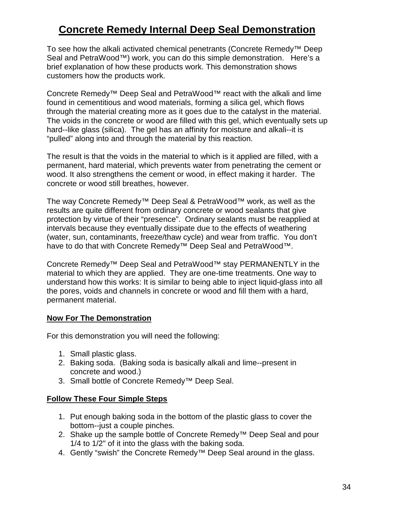### **Concrete Remedy Internal Deep Seal Demonstration**

To see how the alkali activated chemical penetrants (Concrete Remedy™ Deep Seal and PetraWood™) work, you can do this simple demonstration. Here's a brief explanation of how these products work. This demonstration shows customers how the products work.

Concrete Remedy™ Deep Seal and PetraWood™ react with the alkali and lime found in cementitious and wood materials, forming a silica gel, which flows through the material creating more as it goes due to the catalyst in the material. The voids in the concrete or wood are filled with this gel, which eventually sets up hard--like glass (silica). The gel has an affinity for moisture and alkali--it is "pulled" along into and through the material by this reaction.

The result is that the voids in the material to which is it applied are filled, with a permanent, hard material, which prevents water from penetrating the cement or wood. It also strengthens the cement or wood, in effect making it harder. The concrete or wood still breathes, however.

The way Concrete Remedy™ Deep Seal & PetraWood™ work, as well as the results are quite different from ordinary concrete or wood sealants that give protection by virtue of their "presence". Ordinary sealants must be reapplied at intervals because they eventually dissipate due to the effects of weathering (water, sun, contaminants, freeze/thaw cycle) and wear from traffic. You don't have to do that with Concrete Remedy™ Deep Seal and PetraWood™.

Concrete Remedy™ Deep Seal and PetraWood™ stay PERMANENTLY in the material to which they are applied. They are one-time treatments. One way to understand how this works: It is similar to being able to inject liquid-glass into all the pores, voids and channels in concrete or wood and fill them with a hard, permanent material.

#### **Now For The Demonstration**

For this demonstration you will need the following:

- 1. Small plastic glass.
- 2. Baking soda. (Baking soda is basically alkali and lime--present in concrete and wood.)
- 3. Small bottle of Concrete Remedy™ Deep Seal.

#### **Follow These Four Simple Steps**

- 1. Put enough baking soda in the bottom of the plastic glass to cover the bottom--just a couple pinches.
- 2. Shake up the sample bottle of Concrete Remedy™ Deep Seal and pour 1/4 to 1/2" of it into the glass with the baking soda.
- 4. Gently "swish" the Concrete Remedy™ Deep Seal around in the glass.